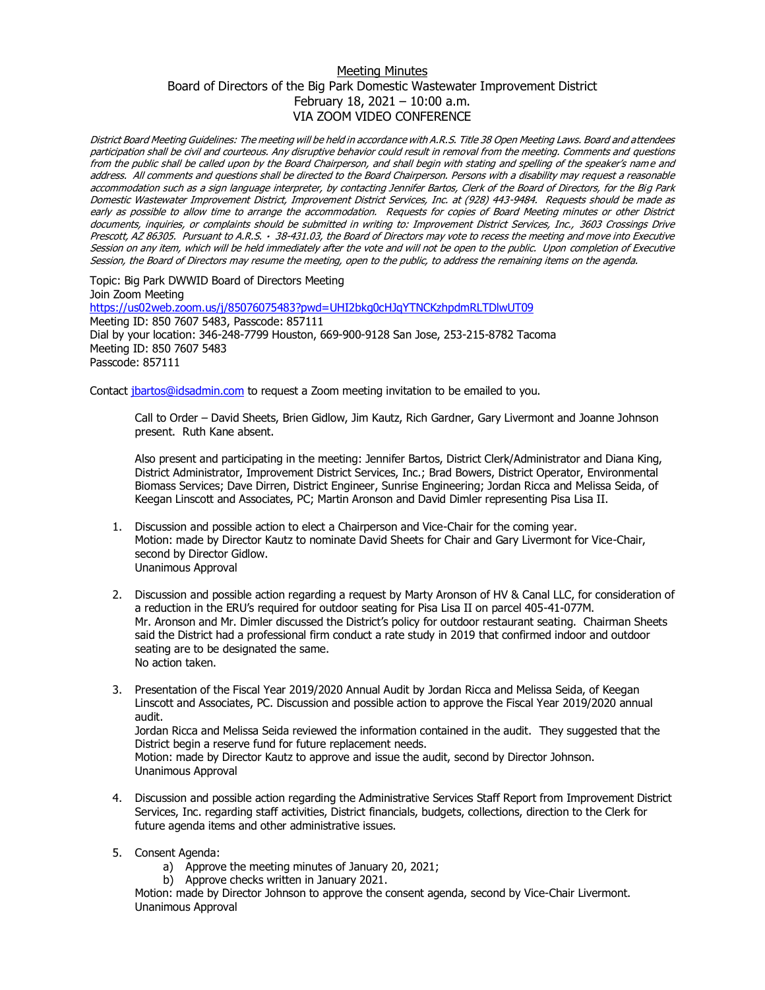## Meeting Minutes Board of Directors of the Big Park Domestic Wastewater Improvement District February 18, 2021 – 10:00 a.m. VIA ZOOM VIDEO CONFERENCE

District Board Meeting Guidelines: The meeting will be held in accordance with A.R.S. Title 38 Open Meeting Laws. Board and attendees participation shall be civil and courteous. Any disruptive behavior could result in removal from the meeting. Comments and questions from the public shall be called upon by the Board Chairperson, and shall begin with stating and spelling of the speaker's nam e and address. All comments and questions shall be directed to the Board Chairperson. Persons with a disability may request a reasonable accommodation such as a sign language interpreter, by contacting Jennifer Bartos, Clerk of the Board of Directors, for the Big Park Domestic Wastewater Improvement District, Improvement District Services, Inc. at (928) 443-9484. Requests should be made as early as possible to allow time to arrange the accommodation. Requests for copies of Board Meeting minutes or other District documents, inquiries, or complaints should be submitted in writing to: Improvement District Services, Inc., 3603 Crossings Drive Prescott, AZ 86305. Pursuant to A.R.S. · 38-431.03, the Board of Directors may vote to recess the meeting and move into Executive Session on any item, which will be held immediately after the vote and will not be open to the public. Upon completion of Executive Session, the Board of Directors may resume the meeting, open to the public, to address the remaining items on the agenda.

Topic: Big Park DWWID Board of Directors Meeting Join Zoom Meeting <https://us02web.zoom.us/j/85076075483?pwd=UHI2bkg0cHJqYTNCKzhpdmRLTDlwUT09> Meeting ID: 850 7607 5483, Passcode: 857111 Dial by your location: 346-248-7799 Houston, 669-900-9128 San Jose, 253-215-8782 Tacoma Meeting ID: 850 7607 5483 Passcode: 857111

Contact [jbartos@idsadmin.com](mailto:jbartos@idsadmin.com) to request a Zoom meeting invitation to be emailed to you.

Call to Order – David Sheets, Brien Gidlow, Jim Kautz, Rich Gardner, Gary Livermont and Joanne Johnson present. Ruth Kane absent.

Also present and participating in the meeting: Jennifer Bartos, District Clerk/Administrator and Diana King, District Administrator, Improvement District Services, Inc.; Brad Bowers, District Operator, Environmental Biomass Services; Dave Dirren, District Engineer, Sunrise Engineering; Jordan Ricca and Melissa Seida, of Keegan Linscott and Associates, PC; Martin Aronson and David Dimler representing Pisa Lisa II.

- 1. Discussion and possible action to elect a Chairperson and Vice-Chair for the coming year. Motion: made by Director Kautz to nominate David Sheets for Chair and Gary Livermont for Vice-Chair, second by Director Gidlow. Unanimous Approval
- 2. Discussion and possible action regarding a request by Marty Aronson of HV & Canal LLC, for consideration of a reduction in the ERU's required for outdoor seating for Pisa Lisa II on parcel 405-41-077M. Mr. Aronson and Mr. Dimler discussed the District's policy for outdoor restaurant seating. Chairman Sheets said the District had a professional firm conduct a rate study in 2019 that confirmed indoor and outdoor seating are to be designated the same. No action taken.
- 3. Presentation of the Fiscal Year 2019/2020 Annual Audit by Jordan Ricca and Melissa Seida, of Keegan Linscott and Associates, PC. Discussion and possible action to approve the Fiscal Year 2019/2020 annual audit.

Jordan Ricca and Melissa Seida reviewed the information contained in the audit. They suggested that the District begin a reserve fund for future replacement needs.

Motion: made by Director Kautz to approve and issue the audit, second by Director Johnson. Unanimous Approval

- 4. Discussion and possible action regarding the Administrative Services Staff Report from Improvement District Services, Inc. regarding staff activities, District financials, budgets, collections, direction to the Clerk for future agenda items and other administrative issues.
- 5. Consent Agenda:
	- a) Approve the meeting minutes of January 20, 2021;
	- b) Approve checks written in January 2021.

Motion: made by Director Johnson to approve the consent agenda, second by Vice-Chair Livermont. Unanimous Approval